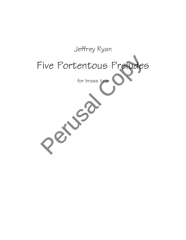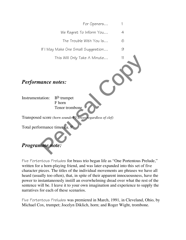|                                                       | For Openers                  | 1  |  |
|-------------------------------------------------------|------------------------------|----|--|
| We Regret To Inform You                               | 4                            |    |  |
|                                                       | The Trouble With You Is      | 6  |  |
| If I May Make One Small Suggestion                    |                              | 9  |  |
|                                                       | This Will Only Take A Minute | 11 |  |
| ance notes:                                           |                              |    |  |
| $Bb$ trumpet<br>ation:<br>F horn<br>Tenor trombone    |                              |    |  |
| $d$ score (horn sounds $P5$ lower regardless of clef) |                              |    |  |
| ormance time: ca. 9<br>nme note:                      |                              |    |  |
|                                                       |                              |    |  |

## *Performance notes:*

Instrumentation: Bb trumpet F horn Tenor trombone

Transposed score *(horn sounds P5 lower regardless of clef)*

Total performance time: ca.

## *Programme note:*

Five Portentous Preludes for brass trio began life as "One Portentous Prelude," written for a horn-playing friend, and was later expanded into this set of five character pieces. The titles of the individual movements are phrases we have all heard (usually too often), that, in spite of their apparent innocuousness, have the power to instantaneously instill an overwhelming dread over what the rest of the sentence will be. I leave it to your own imagination and experience to supply the narratives for each of these scenarios.

Five Portentous Preludes was premiered in March, 1991, in Cleveland, Ohio, by Michael Cox, trumpet; Jocelyn Diklich, horn; and Roger Wight, trombone.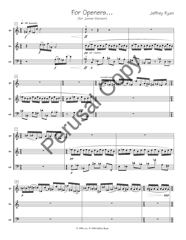For Openers...<br>(for James Manson)

Jeffrey Ryan







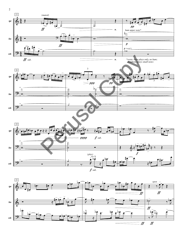



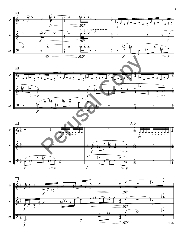





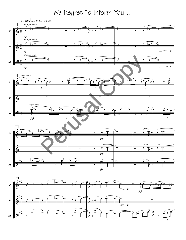We Regret To Inform You…





 $\overline{pp}$ 

*trb*

 $\frac{1}{\sqrt{2}}$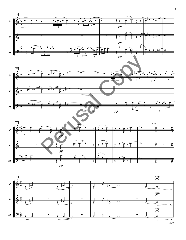





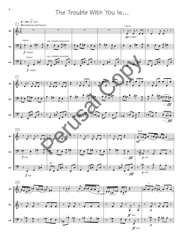The Trouble With You Is...



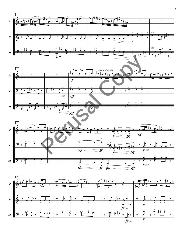





![](_page_8_Figure_3.jpeg)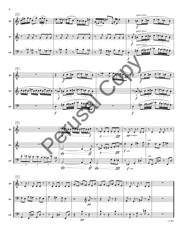![](_page_9_Figure_0.jpeg)

![](_page_9_Figure_1.jpeg)

![](_page_9_Figure_2.jpeg)

![](_page_9_Figure_3.jpeg)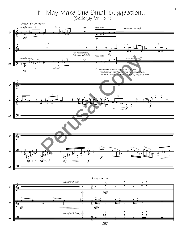## If I May Make One Small Suggestion...<br>(Soliloquy for Horn)

![](_page_10_Figure_1.jpeg)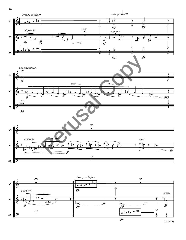![](_page_11_Figure_0.jpeg)

![](_page_11_Figure_1.jpeg)

 $(ca. 2:15)$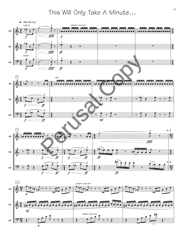This Will Only Take A Minute...

![](_page_12_Figure_1.jpeg)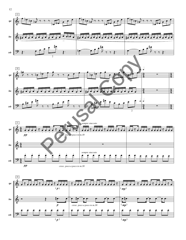![](_page_13_Figure_0.jpeg)

![](_page_13_Figure_1.jpeg)

![](_page_13_Figure_2.jpeg)

![](_page_13_Figure_3.jpeg)

12